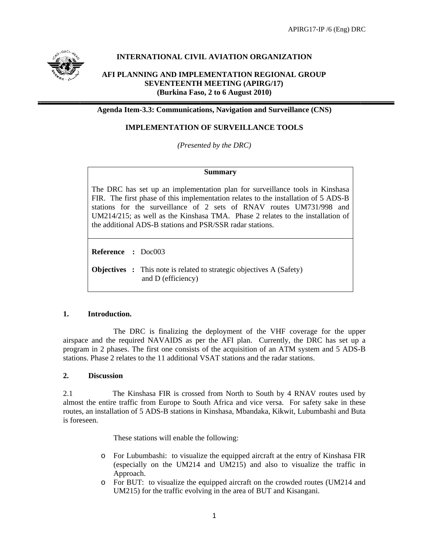

# INTERNATIONAL CIVIL AVIATION ORGANIZATION

## AFI PLANNING AND IMPLEMENTATION REGIONAL GROUP **SEVENTEENTH MEETING (APIRG/17)** (Burkina Faso, 2 to 6 August 2010)

Agenda Item-3.3: Communications, Navigation and Surveillance (CNS)

## **IMPLEMENTATION OF SURVEILLANCE TOOLS**

(Presented by the DRC)

### **Summary**

The DRC has set up an implementation plan for surveillance tools in Kinshasa FIR. The first phase of this implementation relates to the installation of 5 ADS-B stations for the surveillance of 2 sets of RNAV routes UM731/998 and UM214/215; as well as the Kinshasa TMA. Phase 2 relates to the installation of the additional ADS-B stations and PSR/SSR radar stations.

Reference : Doc003

**Objectives** : This note is related to strategic objectives A (Safety) and D (efficiency)

### $1.$ Introduction.

The DRC is finalizing the deployment of the VHF coverage for the upper airspace and the required NAVAIDS as per the AFI plan. Currently, the DRC has set up a program in 2 phases. The first one consists of the acquisition of an ATM system and 5 ADS-B stations. Phase 2 relates to the 11 additional VSAT stations and the radar stations.

### $2.$ **Discussion**

 $2.1$ The Kinshasa FIR is crossed from North to South by 4 RNAV routes used by almost the entire traffic from Europe to South Africa and vice versa. For safety sake in these routes, an installation of 5 ADS-B stations in Kinshasa, Mbandaka, Kikwit, Lubumbashi and Buta is foreseen.

These stations will enable the following:

- o For Lubumbashi: to visualize the equipped aircraft at the entry of Kinshasa FIR (especially on the UM214 and UM215) and also to visualize the traffic in Approach.
- o For BUT: to visualize the equipped aircraft on the crowded routes (UM214 and UM215) for the traffic evolving in the area of BUT and Kisangani.